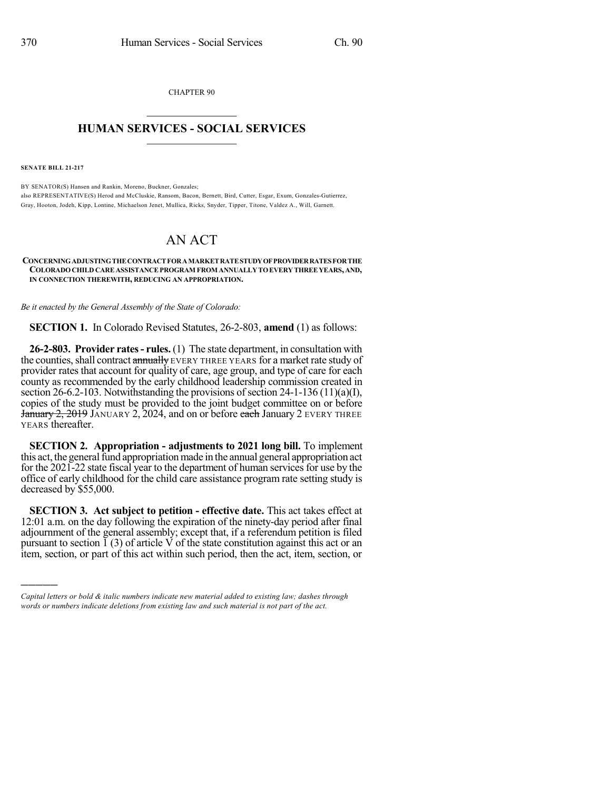CHAPTER 90  $\overline{\phantom{a}}$  . The set of the set of the set of the set of the set of the set of the set of the set of the set of the set of the set of the set of the set of the set of the set of the set of the set of the set of the set o

## **HUMAN SERVICES - SOCIAL SERVICES**  $\frac{1}{2}$  ,  $\frac{1}{2}$  ,  $\frac{1}{2}$  ,  $\frac{1}{2}$  ,  $\frac{1}{2}$  ,  $\frac{1}{2}$  ,  $\frac{1}{2}$

**SENATE BILL 21-217**

)))))

BY SENATOR(S) Hansen and Rankin, Moreno, Buckner, Gonzales; also REPRESENTATIVE(S) Herod and McCluskie, Ransom, Bacon, Bernett, Bird, Cutter, Esgar, Exum, Gonzales-Gutierrez, Gray, Hooton, Jodeh, Kipp, Lontine, Michaelson Jenet, Mullica, Ricks, Snyder, Tipper, Titone, Valdez A., Will, Garnett.

## AN ACT

## **CONCERNINGADJUSTINGTHECONTRACTFORAMARKETRATESTUDYOFPROVIDERRATESFORTHE COLORADOCHILD CARE ASSISTANCEPROGRAM FROM ANNUALLYTOEVERYTHREEYEARS, AND, IN CONNECTION THEREWITH, REDUCING AN APPROPRIATION.**

*Be it enacted by the General Assembly of the State of Colorado:*

**SECTION 1.** In Colorado Revised Statutes, 26-2-803, **amend** (1) as follows:

**26-2-803. Provider rates- rules.** (1) The state department, in consultation with the counties, shall contract annually EVERY THREE YEARS for a market rate study of provider rates that account for quality of care, age group, and type of care for each county as recommended by the early childhood leadership commission created in section 26-6.2-103. Notwithstanding the provisions of section  $24-1-136(11)(a)(I)$ , copies of the study must be provided to the joint budget committee on or before January 2, 2019 JANUARY 2, 2024, and on or before each January 2 EVERY THREE YEARS thereafter.

**SECTION 2. Appropriation - adjustments to 2021 long bill.** To implement this act, the general fund appropriation made in the annual general appropriation act for the 2021-22 state fiscal year to the department of human services for use by the office of early childhood for the child care assistance program rate setting study is decreased by \$55,000.

**SECTION 3. Act subject to petition - effective date.** This act takes effect at 12:01 a.m. on the day following the expiration of the ninety-day period after final adjournment of the general assembly; except that, if a referendum petition is filed pursuant to section  $\tilde{1}$  (3) of article V of the state constitution against this act or an item, section, or part of this act within such period, then the act, item, section, or

*Capital letters or bold & italic numbers indicate new material added to existing law; dashes through words or numbers indicate deletions from existing law and such material is not part of the act.*